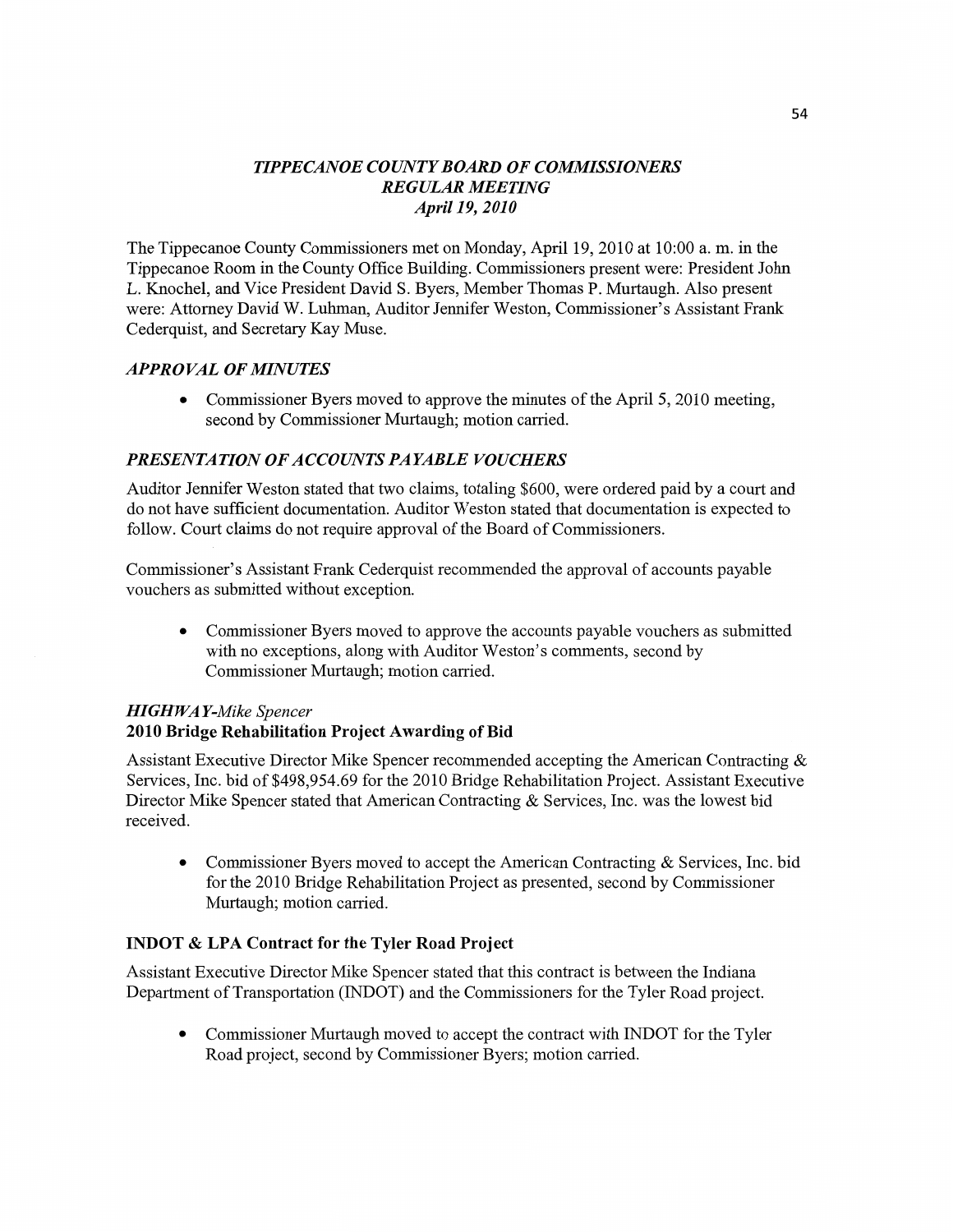# *HPPECANOE COUNTY BOARD* OF *COMMISSIONERS REGULAR MEETING April* 19, *2010*

The Tippecanoe County **Commissioners** met on Monday, April 19, 2010 at 10:00 a. m. in the Tippecanoe Room in the County Office Building. Commissioners present were: President John L. Knochel, and **Vice** President David S. Byers, Member Thomas P. Murtaugh. Also present were: Attorney **David** W. **Luhman,** Auditor Jennifer Weston, Commissioner's Assistant Frank Cederquist, and Secretary Kay Muse.

# *APPROVAL* OF *MINUTES*

**0** Commissioner Byers moved to approve the **minutes** of the April 5, 2010 **meeting,**  second by Commissioner Murtaugh; **motion** carried.

# *PRESENTATION* OF *ACCOUNTS PAYABLE VOUCHERS*

Auditor Jennifer Weston stated that two claims, totaling \$600, were ordered paid by a court and do not have sufficient documentation. Auditor Weston stated that documentation is expected to follow. Court claims do not require approval of the Board of Commissioners.

Commissioner's **Assistant** Frank Cederquist recommended the approval of accounts payable vouchers as submitted Without exception.

**0** Commissioner Byers moved to approve the accounts payable vouchers as submitted with no exceptions, along with Auditor Weston's comments, second by Commissioner Murtaugh; **motion** carried.

### HI *GHWA Y-Mike Spencer*  **2010** Bridge **Rehabilitation Project Awarding** of Bid

**Assistant** Executive Director Mike Spencer recommended accepting the American Contracting & Services, Inc. bid of \$498,954.69 for the 2010 Bridge Rehabilitation Project. Assistant Executive Director **Mike Spencer** stated **that** American **Contracting** & Services, **Inc.** was the lowest bid received.

**0** Commissioner Byers moved to accept the **American** Contracting & Services, Inc. bid for the 2010 Bridge Rehabilitation Project as presented, second by **Commissioner**  Murtaugh; **motion** cam'ed.

### **INDOT &** LPA **Contract** for the **Tyler Road Project**

Assistant Executive Director Mike Spencer stated that *this* contract is between the Indiana Department of Transportation (INDOT) and the Commissioners for the Tyler Road project.

**0** Commissioner Murtaugh moved to accept the contract with INDOT for the Tyler Road project, second by Commissioner Byers; **motion** carried.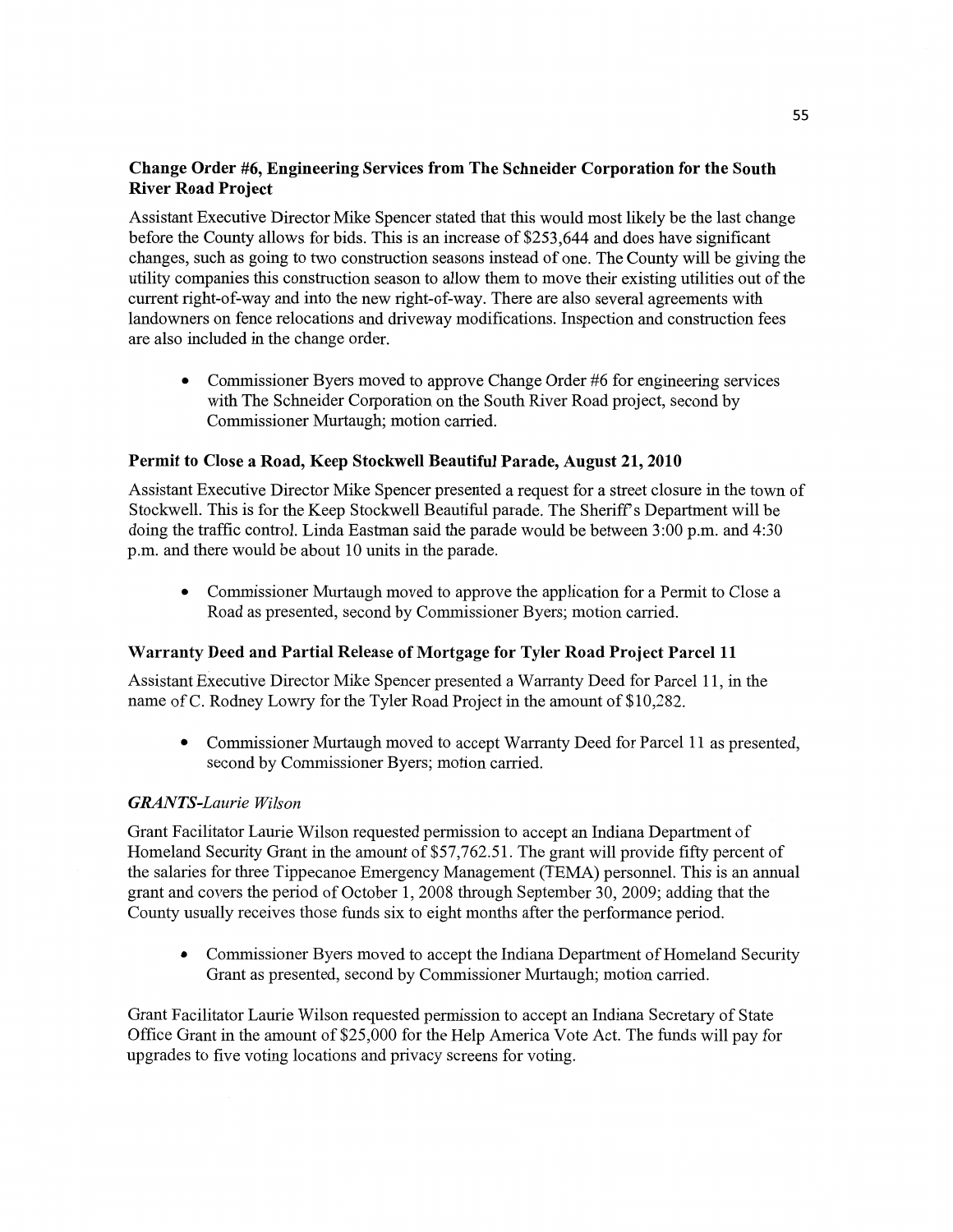# **Change Order** #6, **Engineering Services from** The **Schneider Corporation** for the **South River Road Project**

**Assistant** Executive Director Mike Spencer **stated** that **this** would **most** likely be the last **change**  before the County allows for bids. **This** is an increase of \$253,644 and does **have** significant changes, such as going to two construction seasons instead of one. The County will be **giving** the utility companies this construction season to allow **them** to **move** their existing utilities out of the current n'ght—of-way and **into** the new right-of-way. There are also several agreements with landowners on **fence** relocations and driveway modifications. **Inspection** and construction fees are also included in the change order.

**0** Commissioner Byers **moved** to approve Change Order #6 for engineering services with The **Schneider** Corporation on the South River Road project, second by Commissioner Murtaugh; **motion** carried.

### **Permit** to **Close a Road, Keep Stockwell Beautiful Parade, August** 21, **2010**

Assistant Executive Director Mike Spencer presented **<sup>a</sup>**request for a street closure in the town of Stockwell. This is for the Keep Stockwell Beautiful parade. The Sheriff's Department will be doing the traffic control. Linda Eastman said the parade would be between 3:00 p.m. and 4:30 pm. and there would be about 10 **units** in the parade.

• Commissioner Murtaugh moved to approve the application for a Permit to Close a Road as presented, second by Commissioner Byers; motion carried.

### **Warranty Deed** and **Partial Release** of **Mortgage** for **Tyler Road Project Parcel** 11

Assistant Executive Director Mike **Spencer** presented a Warranty Deed for Parcel 11, in the name of C. Rodney Lowry for the Tyler Road Project in the **amount** of \$10,282.

**0** Commissioner Murtaugh moved to accept Warranty Deed for Parcel 11 as presented, second by Commissioner Byers; **motion** carried.

#### *GRAN T S-Laurie Wilson*

Grant Facilitator Laurie Wilson requested permission to accept an Indiana Department of Homeland Security Grant in the amount of \$57,762.51. The grant will provide fifty percent of the salaries for three Tippecanoe Emergency Management (TEMA) personnel. This is an annual grant and covers the period of October 1, 2008 through September 30, 2009; adding **that** the County usually receives those **funds** six to eight months after the performance period.

**0** Commissioner Byers moved to accept the Indiana Department of Homeland Security Grant as presented, second by Commissioner Murtaugh; motion carried.

Grant Facilitator Laurie Wilson requested permission to accept an Indiana Secretary of State **Office** Grant in the amount of \$25,000 for the Help America Vote **Act.** The funds will pay for upgrades to five voting locations and privacy screens for voting.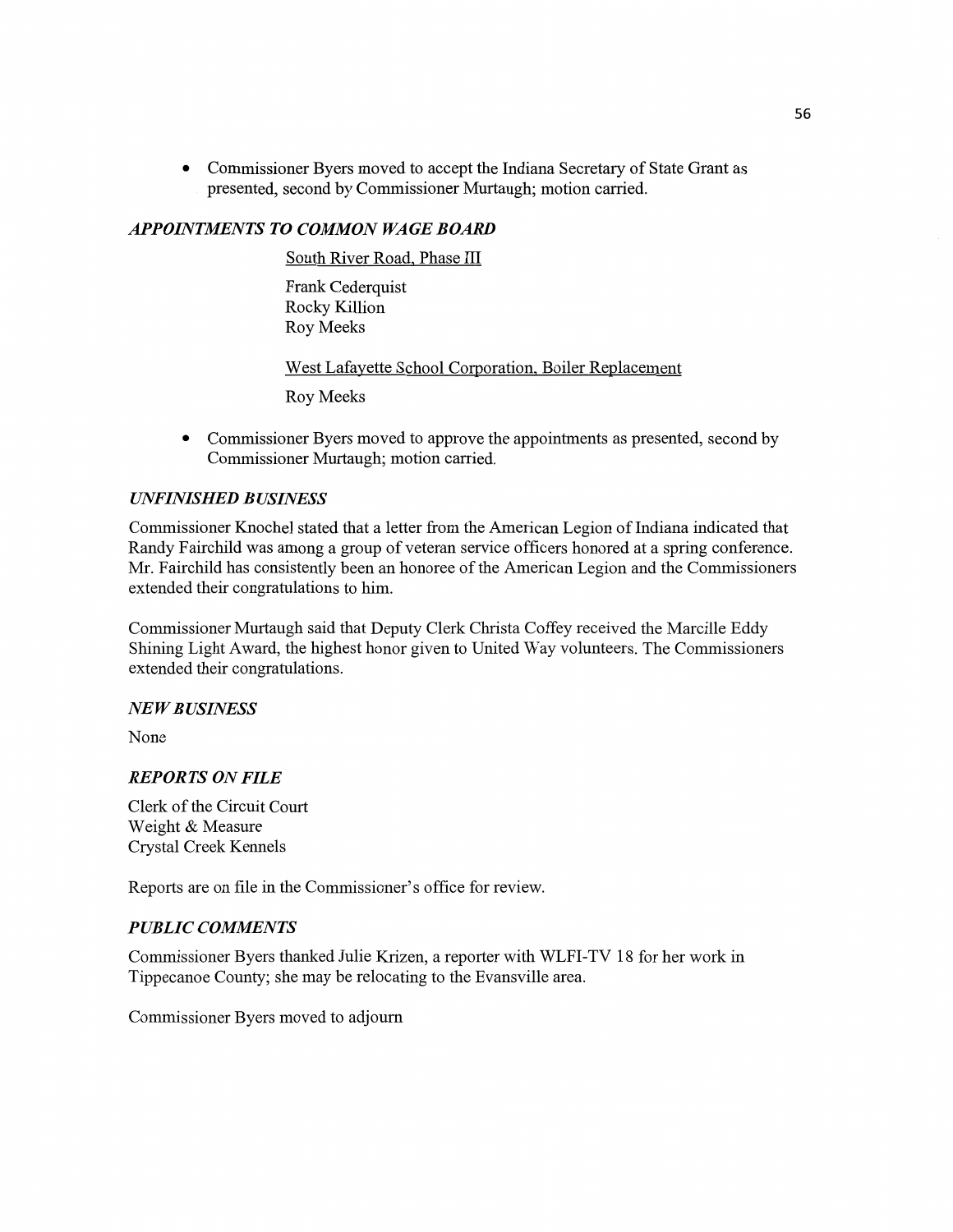**0** Commissioner Byers moved to accept the Indiana Secretary of State Grant as *'* presented, second by **Commissioner** Murtaugh; **motion** carried.

### *APPOHVIMEN* TS T0 *COMMON* WA GE *BOARD*

South River Road, Phase III

Frank Cederquist Rocky Killion Roy **Meeks** 

West Lafayette School Corporation, Boiler Replacement

Roy **Meeks** 

**0** Commissioner Byers moved to approve the **appointments** as presented, second by **Commissioner** Mmtaugh; **motion** carried.

### *UNFINISHED BUSHVESS*

Commissioner Knochel stated that a letter from the American Legion of Indiana indicated that Randy Fairchild was among a group of veteran service officers honored at a spring conference. Mr. Fairchild has consistently **been** an honoree of the American Legion and the **Commissioners**  extended their congratulations to **him.** 

Commissioner Murtaugh said **that** Deputy Clerk Christa Coffey received the Marcille Eddy Shining Light Award, the highest honor given to **United** Way volunteers. The **Commissioners**  extended their congratulations.

### NE WB *USINESS*

None

### *REPORTS* ON *FILE*

Clerk of the Circuit Court Weight & Measure Crystal Creek Kennels

Reports are on file in the Commissioner's **office** for review.

## *PUBLIC COMMENTS*

Commissioner Byers thanked Julie Krizen, a reporter with **WLFI-TV** 18 for her work in Tippecanoe County; she may be relocating to the Evansville area.

**Commissioner** Byers moved to adjourn